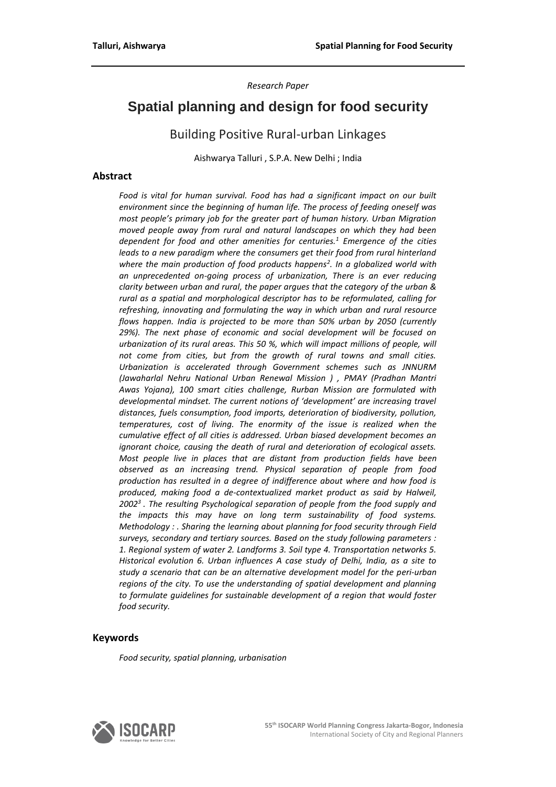*Research Paper* 

# **Spatial planning and design for food security**

# Building Positive Rural-urban Linkages

Aishwarya Talluri , S.P.A. New Delhi ; India

### **Abstract**

*Food is vital for human survival. Food has had a significant impact on our built environment since the beginning of human life. The process of feeding oneself was most people's primary job for the greater part of human history. Urban Migration moved people away from rural and natural landscapes on which they had been dependent for food and other amenities for centuries.<sup>1</sup> Emergence of the cities leads to a new paradigm where the consumers get their food from rural hinterland where the main production of food products happens<sup>2</sup> . In a globalized world with an unprecedented on-going process of urbanization, There is an ever reducing clarity between urban and rural, the paper argues that the category of the urban & rural as a spatial and morphological descriptor has to be reformulated, calling for refreshing, innovating and formulating the way in which urban and rural resource flows happen. India is projected to be more than 50% urban by 2050 (currently 29%). The next phase of economic and social development will be focused on urbanization of its rural areas. This 50 %, which will impact millions of people, will not come from cities, but from the growth of rural towns and small cities. Urbanization is accelerated through Government schemes such as JNNURM (Jawaharlal Nehru National Urban Renewal Mission ) , PMAY (Pradhan Mantri Awas Yojana), 100 smart cities challenge, Rurban Mission are formulated with developmental mindset. The current notions of 'development' are increasing travel distances, fuels consumption, food imports, deterioration of biodiversity, pollution, temperatures, cost of living. The enormity of the issue is realized when the cumulative effect of all cities is addressed. Urban biased development becomes an ignorant choice, causing the death of rural and deterioration of ecological assets. Most people live in places that are distant from production fields have been observed as an increasing trend. Physical separation of people from food production has resulted in a degree of indifference about where and how food is produced, making food a de-contextualized market product as said by Halweil, 2002<sup>3</sup>. The resulting Psychological separation of people from the food supply and the impacts this may have on long term sustainability of food systems. Methodology : . Sharing the learning about planning for food security through Field surveys, secondary and tertiary sources. Based on the study following parameters : 1. Regional system of water 2. Landforms 3. Soil type 4. Transportation networks 5. Historical evolution 6. Urban influences A case study of Delhi, India, as a site to study a scenario that can be an alternative development model for the peri-urban regions of the city. To use the understanding of spatial development and planning to formulate guidelines for sustainable development of a region that would foster food security.*

#### **Keywords**

*Food security, spatial planning, urbanisation*

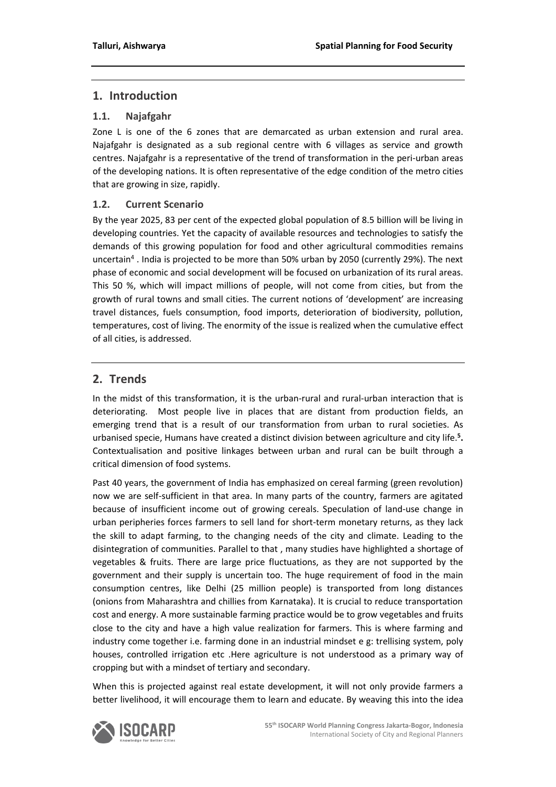# **1. Introduction**

### **1.1. Najafgahr**

Zone L is one of the 6 zones that are demarcated as urban extension and rural area. Najafgahr is designated as a sub regional centre with 6 villages as service and growth centres. Najafgahr is a representative of the trend of transformation in the peri-urban areas of the developing nations. It is often representative of the edge condition of the metro cities that are growing in size, rapidly.

### **1.2. Current Scenario**

By the year 2025, 83 per cent of the expected global population of 8.5 billion will be living in developing countries. Yet the capacity of available resources and technologies to satisfy the demands of this growing population for food and other agricultural commodities remains uncertain<sup>4</sup>. India is projected to be more than 50% urban by 2050 (currently 29%). The next phase of economic and social development will be focused on urbanization of its rural areas. This 50 %, which will impact millions of people, will not come from cities, but from the growth of rural towns and small cities. The current notions of 'development' are increasing travel distances, fuels consumption, food imports, deterioration of biodiversity, pollution, temperatures, cost of living. The enormity of the issue is realized when the cumulative effect of all cities, is addressed.

# **2. Trends**

In the midst of this transformation, it is the urban-rural and rural-urban interaction that is deteriorating. Most people live in places that are distant from production fields, an emerging trend that is a result of our transformation from urban to rural societies. As urbanised specie, Humans have created a distinct division between agriculture and city life.**<sup>5</sup> .**  Contextualisation and positive linkages between urban and rural can be built through a critical dimension of food systems.

Past 40 years, the government of India has emphasized on cereal farming (green revolution) now we are self-sufficient in that area. In many parts of the country, farmers are agitated because of insufficient income out of growing cereals. Speculation of land-use change in urban peripheries forces farmers to sell land for short-term monetary returns, as they lack the skill to adapt farming, to the changing needs of the city and climate. Leading to the disintegration of communities. Parallel to that , many studies have highlighted a shortage of vegetables & fruits. There are large price fluctuations, as they are not supported by the government and their supply is uncertain too. The huge requirement of food in the main consumption centres, like Delhi (25 million people) is transported from long distances (onions from Maharashtra and chillies from Karnataka). It is crucial to reduce transportation cost and energy. A more sustainable farming practice would be to grow vegetables and fruits close to the city and have a high value realization for farmers. This is where farming and industry come together i.e. farming done in an industrial mindset e g: trellising system, poly houses, controlled irrigation etc .Here agriculture is not understood as a primary way of cropping but with a mindset of tertiary and secondary.

When this is projected against real estate development, it will not only provide farmers a better livelihood, it will encourage them to learn and educate. By weaving this into the idea

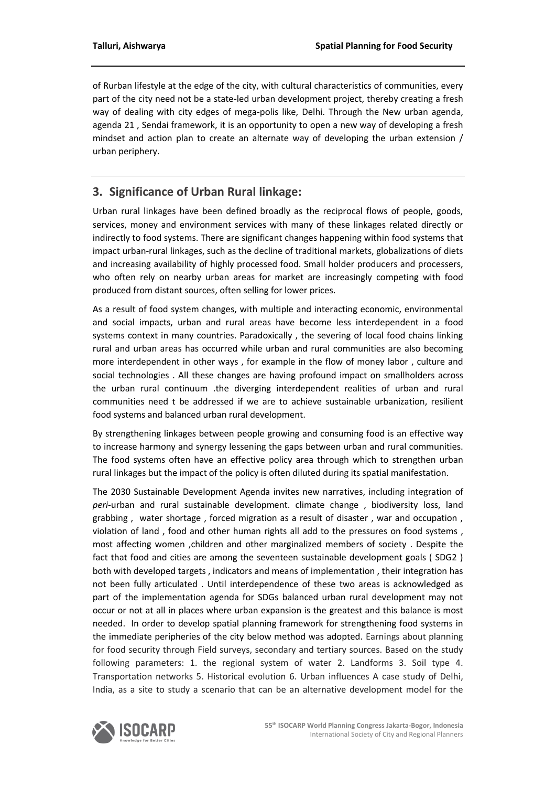of Rurban lifestyle at the edge of the city, with cultural characteristics of communities, every part of the city need not be a state-led urban development project, thereby creating a fresh way of dealing with city edges of mega-polis like, Delhi. Through the New urban agenda, agenda 21 , Sendai framework, it is an opportunity to open a new way of developing a fresh mindset and action plan to create an alternate way of developing the urban extension / urban periphery.

# **3. Significance of Urban Rural linkage:**

Urban rural linkages have been defined broadly as the reciprocal flows of people, goods, services, money and environment services with many of these linkages related directly or indirectly to food systems. There are significant changes happening within food systems that impact urban-rural linkages, such as the decline of traditional markets, globalizations of diets and increasing availability of highly processed food. Small holder producers and processers, who often rely on nearby urban areas for market are increasingly competing with food produced from distant sources, often selling for lower prices.

As a result of food system changes, with multiple and interacting economic, environmental and social impacts, urban and rural areas have become less interdependent in a food systems context in many countries. Paradoxically , the severing of local food chains linking rural and urban areas has occurred while urban and rural communities are also becoming more interdependent in other ways , for example in the flow of money labor , culture and social technologies . All these changes are having profound impact on smallholders across the urban rural continuum .the diverging interdependent realities of urban and rural communities need t be addressed if we are to achieve sustainable urbanization, resilient food systems and balanced urban rural development.

By strengthening linkages between people growing and consuming food is an effective way to increase harmony and synergy lessening the gaps between urban and rural communities. The food systems often have an effective policy area through which to strengthen urban rural linkages but the impact of the policy is often diluted during its spatial manifestation.

The 2030 Sustainable Development Agenda invites new narratives, including integration of *peri*-urban and rural sustainable development. climate change , biodiversity loss, land grabbing , water shortage , forced migration as a result of disaster , war and occupation , violation of land , food and other human rights all add to the pressures on food systems , most affecting women ,children and other marginalized members of society . Despite the fact that food and cities are among the seventeen sustainable development goals ( SDG2 ) both with developed targets , indicators and means of implementation , their integration has not been fully articulated . Until interdependence of these two areas is acknowledged as part of the implementation agenda for SDGs balanced urban rural development may not occur or not at all in places where urban expansion is the greatest and this balance is most needed. In order to develop spatial planning framework for strengthening food systems in the immediate peripheries of the city below method was adopted. Earnings about planning for food security through Field surveys, secondary and tertiary sources. Based on the study following parameters: 1. the regional system of water 2. Landforms 3. Soil type 4. Transportation networks 5. Historical evolution 6. Urban influences A case study of Delhi, India, as a site to study a scenario that can be an alternative development model for the

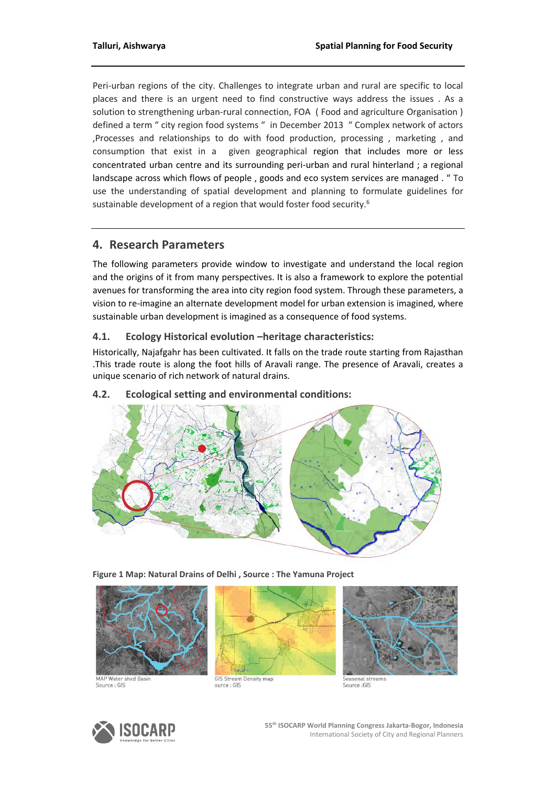Peri-urban regions of the city. Challenges to integrate urban and rural are specific to local places and there is an urgent need to find constructive ways address the issues . As a solution to strengthening urban-rural connection, FOA ( Food and agriculture Organisation ) defined a term " city region food systems " in December 2013 " Complex network of actors ,Processes and relationships to do with food production, processing , marketing , and consumption that exist in a given geographical region that includes more or less concentrated urban centre and its surrounding peri-urban and rural hinterland ; a regional landscape across which flows of people , goods and eco system services are managed . " To use the understanding of spatial development and planning to formulate guidelines for sustainable development of a region that would foster food security.<sup>6</sup>

# **4. Research Parameters**

The following parameters provide window to investigate and understand the local region and the origins of it from many perspectives. It is also a framework to explore the potential avenues for transforming the area into city region food system. Through these parameters, a vision to re-imagine an alternate development model for urban extension is imagined, where sustainable urban development is imagined as a consequence of food systems.

### **4.1. Ecology Historical evolution –heritage characteristics:**

Historically, Najafgahr has been cultivated. It falls on the trade route starting from Rajasthan .This trade route is along the foot hills of Aravali range. The presence of Aravali, creates a unique scenario of rich network of natural drains.

### **4.2. Ecological setting and environmental conditions:**



**Figure 1 Map: Natural Drains of Delhi , Source : The Yamuna Project** 



Source : GIS





**GIS Stream Density map**<br>ource : GIS

Seasonal stream<br>Source : GIS

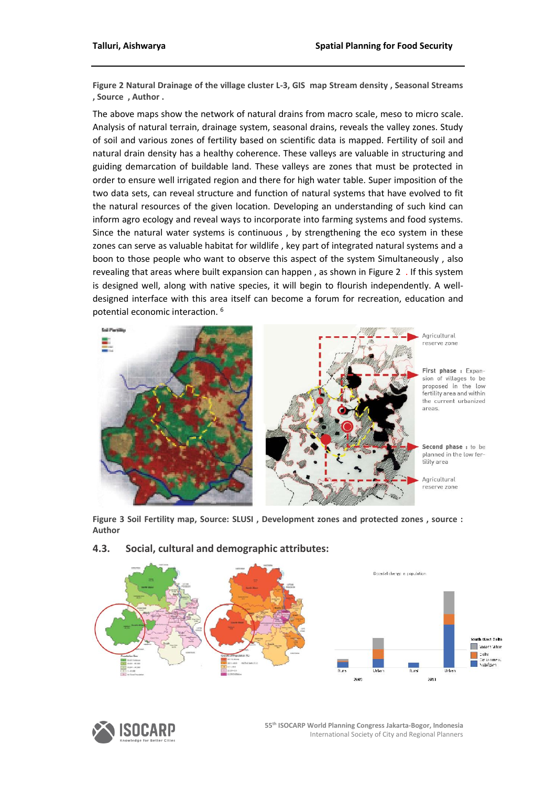**Figure 2 Natural Drainage of the village cluster L-3, GIS map Stream density , Seasonal Streams , Source , Author .**

The above maps show the network of natural drains from macro scale, meso to micro scale. Analysis of natural terrain, drainage system, seasonal drains, reveals the valley zones. Study of soil and various zones of fertility based on scientific data is mapped. Fertility of soil and natural drain density has a healthy coherence. These valleys are valuable in structuring and guiding demarcation of buildable land. These valleys are zones that must be protected in order to ensure well irrigated region and there for high water table. Super imposition of the two data sets, can reveal structure and function of natural systems that have evolved to fit the natural resources of the given location. Developing an understanding of such kind can inform agro ecology and reveal ways to incorporate into farming systems and food systems. Since the natural water systems is continuous , by strengthening the eco system in these zones can serve as valuable habitat for wildlife , key part of integrated natural systems and a boon to those people who want to observe this aspect of the system Simultaneously , also revealing that areas where built expansion can happen , as shown in Figure 2 . If this system is designed well, along with native species, it will begin to flourish independently. A welldesigned interface with this area itself can become a forum for recreation, education and potential economic interaction. <sup>6</sup>



**Figure 3 Soil Fertility map, Source: SLUSI , Development zones and protected zones , source : Author**



### **4.3. Social, cultural and demographic attributes:**



**55th ISOCARP World Planning Congress Jakarta-Bogor, Indonesia** International Society of City and Regional Planners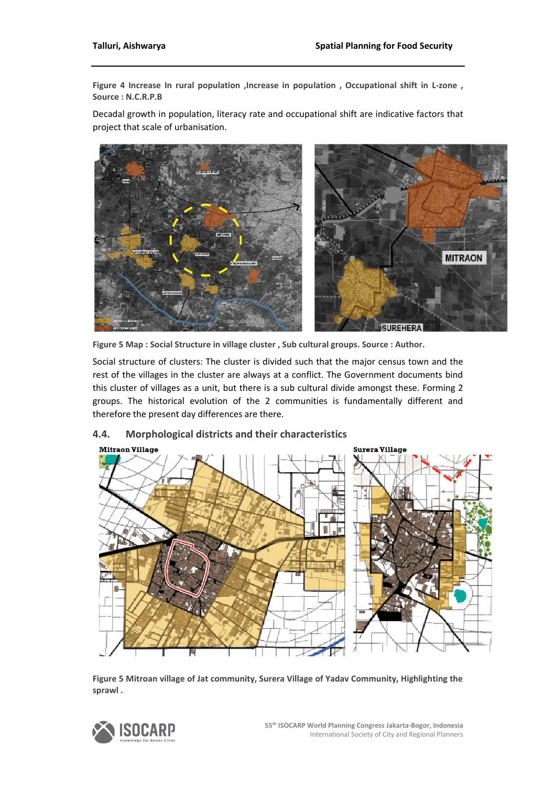**Figure 4 Increase In rural population ,Increase in population , Occupational shift in L-zone , Source : N.C.R.P.B**

Decadal growth in population, literacy rate and occupational shift are indicative factors that project that scale of urbanisation.



**Figure 5 Map : Social Structure in village cluster , Sub cultural groups. Source : Author.**

Social structure of clusters: The cluster is divided such that the major census town and the rest of the villages in the cluster are always at a conflict. The Government documents bind this cluster of villages as a unit, but there is a sub cultural divide amongst these. Forming 2 groups. The historical evolution of the 2 communities is fundamentally different and therefore the present day differences are there.

# **Mitraon Village Surera Village**

### **4.4. Morphological districts and their characteristics**

**Figure 5 Mitroan village of Jat community, Surera Village of Yadav Community, Highlighting the sprawl .** 

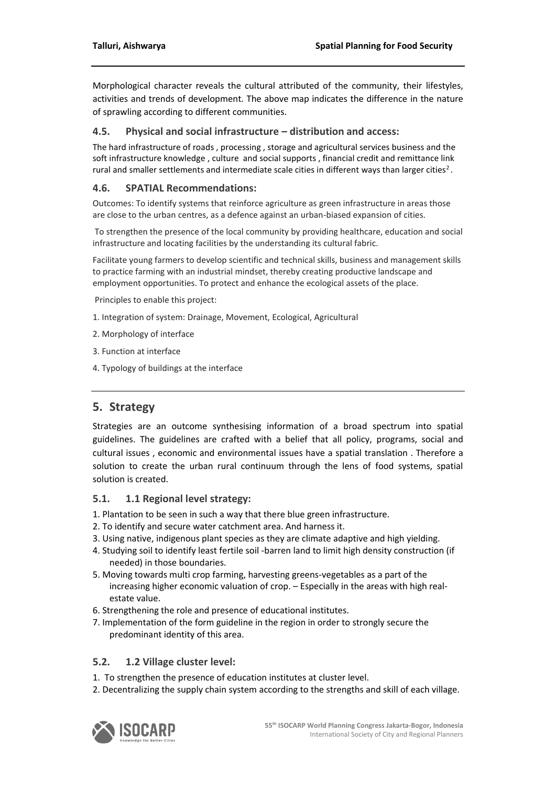Morphological character reveals the cultural attributed of the community, their lifestyles, activities and trends of development. The above map indicates the difference in the nature of sprawling according to different communities.

### **4.5. Physical and social infrastructure – distribution and access:**

The hard infrastructure of roads , processing , storage and agricultural services business and the soft infrastructure knowledge , culture and social supports , financial credit and remittance link rural and smaller settlements and intermediate scale cities in different ways than larger cities<sup>2</sup>.

### **4.6. SPATIAL Recommendations:**

Outcomes: To identify systems that reinforce agriculture as green infrastructure in areas those are close to the urban centres, as a defence against an urban-biased expansion of cities.

To strengthen the presence of the local community by providing healthcare, education and social infrastructure and locating facilities by the understanding its cultural fabric.

Facilitate young farmers to develop scientific and technical skills, business and management skills to practice farming with an industrial mindset, thereby creating productive landscape and employment opportunities. To protect and enhance the ecological assets of the place.

Principles to enable this project:

- 1. Integration of system: Drainage, Movement, Ecological, Agricultural
- 2. Morphology of interface
- 3. Function at interface
- 4. Typology of buildings at the interface

# **5. Strategy**

Strategies are an outcome synthesising information of a broad spectrum into spatial guidelines. The guidelines are crafted with a belief that all policy, programs, social and cultural issues , economic and environmental issues have a spatial translation . Therefore a solution to create the urban rural continuum through the lens of food systems, spatial solution is created.

### **5.1. 1.1 Regional level strategy:**

- 1. Plantation to be seen in such a way that there blue green infrastructure.
- 2. To identify and secure water catchment area. And harness it.
- 3. Using native, indigenous plant species as they are climate adaptive and high yielding.
- 4. Studying soil to identify least fertile soil -barren land to limit high density construction (if needed) in those boundaries.
- 5. Moving towards multi crop farming, harvesting greens-vegetables as a part of the increasing higher economic valuation of crop. – Especially in the areas with high realestate value.
- 6. Strengthening the role and presence of educational institutes.
- 7. Implementation of the form guideline in the region in order to strongly secure the predominant identity of this area.

### **5.2. 1.2 Village cluster level:**

- 1. To strengthen the presence of education institutes at cluster level.
- 2. Decentralizing the supply chain system according to the strengths and skill of each village.

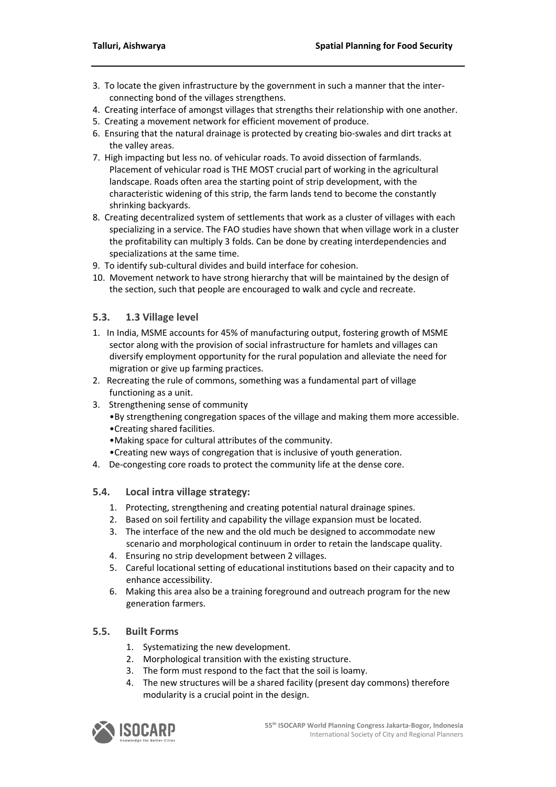- 3. To locate the given infrastructure by the government in such a manner that the interconnecting bond of the villages strengthens.
- 4. Creating interface of amongst villages that strengths their relationship with one another.
- 5. Creating a movement network for efficient movement of produce.
- 6. Ensuring that the natural drainage is protected by creating bio-swales and dirt tracks at the valley areas.
- 7. High impacting but less no. of vehicular roads. To avoid dissection of farmlands. Placement of vehicular road is THE MOST crucial part of working in the agricultural landscape. Roads often area the starting point of strip development, with the characteristic widening of this strip, the farm lands tend to become the constantly shrinking backyards.
- 8. Creating decentralized system of settlements that work as a cluster of villages with each specializing in a service. The FAO studies have shown that when village work in a cluster the profitability can multiply 3 folds. Can be done by creating interdependencies and specializations at the same time.
- 9. To identify sub-cultural divides and build interface for cohesion.
- 10. Movement network to have strong hierarchy that will be maintained by the design of the section, such that people are encouraged to walk and cycle and recreate.

### **5.3. 1.3 Village level**

- 1. In India, MSME accounts for 45% of manufacturing output, fostering growth of MSME sector along with the provision of social infrastructure for hamlets and villages can diversify employment opportunity for the rural population and alleviate the need for migration or give up farming practices.
- 2. Recreating the rule of commons, something was a fundamental part of village functioning as a unit.
- 3. Strengthening sense of community
	- •By strengthening congregation spaces of the village and making them more accessible. •Creating shared facilities.
	- •Making space for cultural attributes of the community.
	- •Creating new ways of congregation that is inclusive of youth generation.
- 4. De-congesting core roads to protect the community life at the dense core.

### **5.4. Local intra village strategy:**

- 1. Protecting, strengthening and creating potential natural drainage spines.
- 2. Based on soil fertility and capability the village expansion must be located.
- 3. The interface of the new and the old much be designed to accommodate new scenario and morphological continuum in order to retain the landscape quality.
- 4. Ensuring no strip development between 2 villages.
- 5. Careful locational setting of educational institutions based on their capacity and to enhance accessibility.
- 6. Making this area also be a training foreground and outreach program for the new generation farmers.

### **5.5. Built Forms**

- 1. Systematizing the new development.
- 2. Morphological transition with the existing structure.
- 3. The form must respond to the fact that the soil is loamy.
- 4. The new structures will be a shared facility (present day commons) therefore modularity is a crucial point in the design.